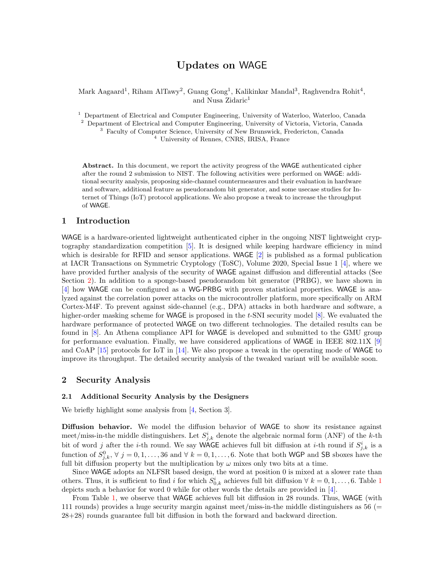# Updates on WAGE

Mark Aagaard<sup>1</sup>, Riham AlTawy<sup>2</sup>, Guang Gong<sup>1</sup>, Kalikinkar Mandal<sup>3</sup>, Raghvendra Rohit<sup>4</sup>, and Nusa Zidaric<sup>1</sup>

<sup>1</sup> Department of Electrical and Computer Engineering, University of Waterloo, Waterloo, Canada <sup>2</sup> Department of Electrical and Computer Engineering, University of Victoria, Victoria, Canada <sup>3</sup> Faculty of Computer Science, University of New Brunswick, Fredericton, Canada

<sup>4</sup> University of Rennes, CNRS, IRISA, France

Abstract. In this document, we report the activity progress of the WAGE authenticated cipher after the round 2 submission to NIST. The following activities were performed on WAGE: additional security analysis, proposing side-channel countermeasures and their evaluation in hardware and software, additional feature as pseudorandom bit generator, and some usecase studies for Internet of Things (IoT) protocol applications. We also propose a tweak to increase the throughput of WAGE.

# 1 Introduction

WAGE is a hardware-oriented lightweight authenticated cipher in the ongoing NIST lightweight cryptography standardization competition [\[5\]](#page-4-0). It is designed while keeping hardware efficiency in mind which is desirable for RFID and sensor applications. WAGE [\[2\]](#page-4-1) is published as a formal publication at IACR Transactions on Symmetric Cryptology (ToSC), Volume 2020, Special Issue 1 [\[4\]](#page-4-2), where we have provided further analysis of the security of WAGE against diffusion and differential attacks (See Section [2\)](#page-0-0). In addition to a sponge-based pseudorandom bit generator (PRBG), we have shown in [\[4\]](#page-4-2) how WAGE can be configured as a WG-PRBG with proven statistical properties. WAGE is analyzed against the correlation power attacks on the microcontroller platform, more specifically on ARM Cortex-M4F. To prevent against side-channel (e.g., DPA) attacks in both hardware and software, a higher-order masking scheme for **WAGE** is proposed in the t-SNI security model [\[8\]](#page-4-3). We evaluated the hardware performance of protected WAGE on two different technologies. The detailed results can be found in [\[8\]](#page-4-3). An Athena compliance API for WAGE is developed and submitted to the GMU group for performance evaluation. Finally, we have considered applications of WAGE in IEEE 802.11X [\[9\]](#page-4-4) and CoAP [\[15\]](#page-4-5) protocols for IoT in [\[14\]](#page-4-6). We also propose a tweak in the operating mode of WAGE to improve its throughput. The detailed security analysis of the tweaked variant will be available soon.

# <span id="page-0-0"></span>2 Security Analysis

# 2.1 Additional Security Analysis by the Designers

We briefly highlight some analysis from [\[4,](#page-4-2) Section 3].

Diffusion behavior. We model the diffusion behavior of WAGE to show its resistance against meet/miss-in-the middle distinguishers. Let  $S_{j,k}^i$  denote the algebraic normal form (ANF) of the k-th bit of word j after the *i*-th round. We say WAGE achieves full bit diffusion at *i*-th round if  $S_{i,k}^{i}$  is a function of  $S_{i,k}^0$ ,  $\forall j = 0, 1, ..., 36$  and  $\forall k = 0, 1, ..., 6$ . Note that both WGP and SB sboxes have the full bit diffusion property but the multiplication by  $\omega$  mixes only two bits at a time.

Since WAGE adopts an NLFSR based design, the word at position 0 is mixed at a slower rate than others. Thus, it is sufficient to find i for which  $S^i_{0,k}$  achieves full bit diffusion  $\forall k = 0, 1, ..., 6$  $\forall k = 0, 1, ..., 6$  $\forall k = 0, 1, ..., 6$ . Table 1 depicts such a behavior for word 0 while for other words the details are provided in [\[4\]](#page-4-2).

From Table [1,](#page-1-0) we observe that WAGE achieves full bit diffusion in 28 rounds. Thus, WAGE (with 111 rounds) provides a huge security margin against meet/miss-in-the middle distinguishers as 56 (= 28+28) rounds guarantee full bit diffusion in both the forward and backward direction.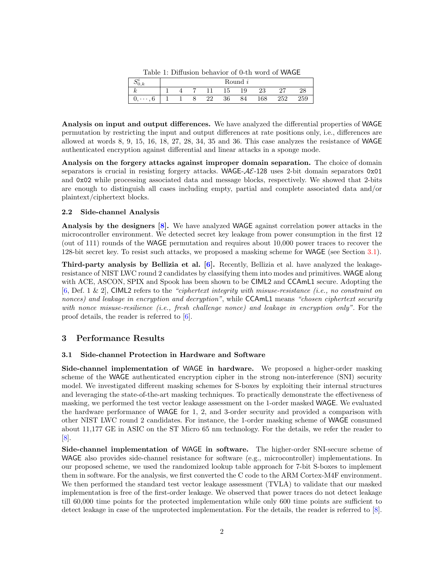| $\cdot$ | Round i |  |  |    |    |                |     |     |     |  |  |
|---------|---------|--|--|----|----|----------------|-----|-----|-----|--|--|
| n       |         |  |  |    | 15 | $^{\bullet}$ Q | ∠⊍  | "   |     |  |  |
| U       |         |  |  | ററ | 36 | 84             | 168 | 252 | 259 |  |  |

<span id="page-1-0"></span>Analysis on input and output differences. We have analyzed the differential properties of WAGE permutation by restricting the input and output differences at rate positions only, i.e., differences are allowed at words 8, 9, 15, 16, 18, 27, 28, 34, 35 and 36. This case analyzes the resistance of WAGE authenticated encryption against differential and linear attacks in a sponge mode.

Analysis on the forgery attacks against improper domain separation. The choice of domain separators is crucial in resisting forgery attacks. WAGE- $A\mathcal{E}$ -128 uses 2-bit domain separators 0x01 and 0x02 while processing associated data and message blocks, respectively. We showed that 2-bits are enough to distinguish all cases including empty, partial and complete associated data and/or plaintext/ciphertext blocks.

## 2.2 Side-channel Analysis

Analysis by the designers [\[8\]](#page-4-3). We have analyzed WAGE against correlation power attacks in the microcontroller environment. We detected secret key leakage from power consumption in the first 12 (out of 111) rounds of the WAGE permutation and requires about 10,000 power traces to recover the 128-bit secret key. To resist such attacks, we proposed a masking scheme for WAGE (see Section [3.1\)](#page-1-1).

Third-party analysis by Bellizia et al. [\[6\]](#page-4-7). Recently, Bellizia et al. have analyzed the leakageresistance of NIST LWC round 2 candidates by classifying them into modes and primitives. WAGE along with ACE, ASCON, SPIX and Spook has been shown to be CIML2 and CCAmL1 secure. Adopting the [\[6,](#page-4-7) Def. 1 & 2], CIML2 refers to the "ciphertext integrity with misuse-resistance (i.e., no constraint on nonces) and leakage in encryption and decryption", while CCAmL1 means "chosen ciphertext security with nonce misuse-resilience (i.e., fresh challenge nonce) and leakage in encryption only". For the proof details, the reader is referred to [\[6\]](#page-4-7).

# 3 Performance Results

# <span id="page-1-1"></span>3.1 Side-channel Protection in Hardware and Software

Side-channel implementation of WAGE in hardware. We proposed a higher-order masking scheme of the WAGE authenticated encryption cipher in the strong non-interference (SNI) security model. We investigated different masking schemes for S-boxes by exploiting their internal structures and leveraging the state-of-the-art masking techniques. To practically demonstrate the effectiveness of masking, we performed the test vector leakage assessment on the 1-order masked WAGE. We evaluated the hardware performance of WAGE for 1, 2, and 3-order security and provided a comparison with other NIST LWC round 2 candidates. For instance, the 1-order masking scheme of WAGE consumed about 11,177 GE in ASIC on the ST Micro 65 nm technology. For the details, we refer the reader to [\[8\]](#page-4-3).

Side-channel implementation of WAGE in software. The higher-order SNI-secure scheme of WAGE also provides side-channel resistance for software (e.g., microcontroller) implementations. In our proposed scheme, we used the randomized lookup table approach for 7-bit S-boxes to implement them in software. For the analysis, we first converted the C code to the ARM Cortex-M4F environment. We then performed the standard test vector leakage assessment (TVLA) to validate that our masked implementation is free of the first-order leakage. We observed that power traces do not detect leakage till 60,000 time points for the protected implementation while only 600 time points are sufficient to detect leakage in case of the unprotected implementation. For the details, the reader is referred to [\[8\]](#page-4-3).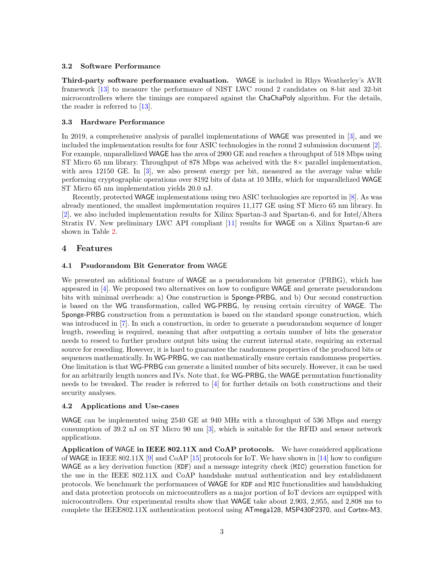## 3.2 Software Performance

Third-party software performance evaluation. WAGE is included in Rhys Weatherley's AVR framework [\[13\]](#page-4-8) to measure the performance of NIST LWC round 2 candidates on 8-bit and 32-bit microcontrollers where the timings are compared against the ChaChaPoly algorithm. For the details, the reader is referred to [\[13\]](#page-4-8).

#### 3.3 Hardware Performance

In 2019, a comprehensive analysis of parallel implementations of WAGE was presented in [\[3\]](#page-4-9), and we included the implementation results for four ASIC technologies in the round 2 submission document [\[2\]](#page-4-1). For example, unparallelized WAGE has the area of 2900 GE and reaches a throughput of 518 Mbps using ST Micro 65 nm library. Throughput of 878 Mbps was acheived with the 8× parallel implementation, with area 12150 GE. In [\[3\]](#page-4-9), we also present energy per bit, measured as the average value while performing cryptographic operations over 8192 bits of data at 10 MHz, which for unparallelized WAGE ST Micro 65 nm implementation yields 20.0 nJ.

Recently, protected WAGE implementations using two ASIC technologies are reported in [\[8\]](#page-4-3). As was already mentioned, the smallest implementation requires 11,177 GE using ST Micro 65 nm library. In [\[2\]](#page-4-1), we also included implementation results for Xilinx Spartan-3 and Spartan-6, and for Intel/Altera Stratix IV. New preliminary LWC API compliant [\[11\]](#page-4-10) results for WAGE on a Xilinx Spartan-6 are shown in Table [2.](#page-3-0)

## 4 Features

#### 4.1 Psudorandom Bit Generator from WAGE

We presented an additional feature of WAGE as a pseudorandom bit generator (PRBG), which has appeared in [\[4\]](#page-4-2). We proposed two alternatives on how to configure WAGE and generate pseudorandom bits with minimal overheads: a) One construction is Sponge-PRBG, and b) Our second construction is based on the WG transformation, called WG-PRBG, by reusing certain circuitry of WAGE. The Sponge-PRBG construction from a permutation is based on the standard sponge construction, which was introduced in [\[7\]](#page-4-11). In such a construction, in order to generate a pseudorandom sequence of longer length, reseeding is required, meaning that after outputting a certain number of bits the generator needs to reseed to further produce output bits using the current internal state, requiring an external source for reseeding. However, it is hard to guarantee the randomness properties of the produced bits or sequences mathematically. In WG-PRBG, we can mathematically ensure certain randomness properties. One limitation is that WG-PRBG can generate a limited number of bits securely. However, it can be used for an arbitrarily length nonces and IVs. Note that, for WG-PRBG, the WAGE permutation functionality needs to be tweaked. The reader is referred to  $\left[4\right]$  for further details on both constructions and their security analyses.

### 4.2 Applications and Use-cases

WAGE can be implemented using 2540 GE at 940 MHz with a throughput of 536 Mbps and energy consumption of 39.2 nJ on ST Micro 90 nm [\[3\]](#page-4-9), which is suitable for the RFID and sensor network applications.

Application of WAGE in IEEE 802.11X and CoAP protocols. We have considered applications of WAGE in IEEE 802.11X [\[9\]](#page-4-4) and CoAP [\[15\]](#page-4-5) protocols for IoT. We have shown in [\[14\]](#page-4-6) how to configure WAGE as a key derivation function (KDF) and a message integrity check (MIC) generation function for the use in the IEEE 802.11X and CoAP handshake mutual authentication and key establishment protocols. We benchmark the performances of WAGE for KDF and MIC functionalities and handshaking and data protection protocols on microcontrollers as a major portion of IoT devices are equipped with microcontrollers. Our experimental results show that WAGE take about 2,903, 2,955, and 2,808 ms to complete the IEEE802.11X authentication protocol using ATmega128, MSP430F2370, and Cortex-M3,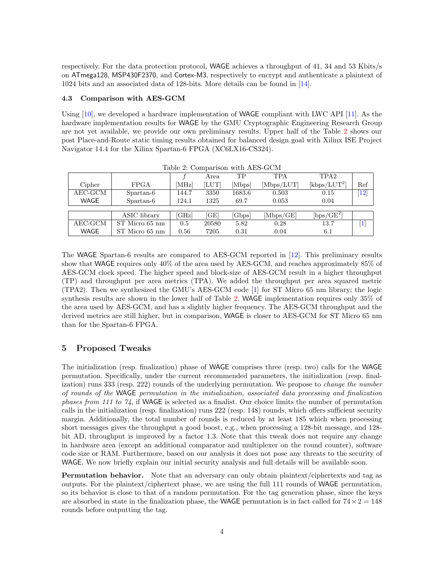respectively. For the data protection protocol, WAGE achieves a throughput of 41, 34 and 53 Kbits/s on ATmega128, MSP430F2370, and Cortex-M3, respectively to encrypt and authenticate a plaintext of 1024 bits and an associated data of 128-bits. More details can be found in [\[14\]](#page-4-6).

## 4.3 Comparison with AES-GCM

Using [\[10\]](#page-4-12), we developed a hardware implementation of WAGE compliant with LWC API [\[11\]](#page-4-10). As the hardware implementation results for WAGE by the GMU Cryptographic Engineering Research Group are not yet available, we provide our own preliminary results. Upper half of the Table [2](#page-3-0) shows our post Place-and-Route static timing results obtained for balanced design goal with Xilinx ISE Project Navigator 14.4 for the Xilinx Spartan-6 FPGA (XC6LX16-CS324).

<span id="page-3-0"></span>

|             |                |       | Area  | TР     | TPA        | TPA <sub>2</sub> |                 |
|-------------|----------------|-------|-------|--------|------------|------------------|-----------------|
| Cipher      | <b>FPGA</b>    | [MHz] | [LUT] | [Mbps] | [Mbps/LUT] | $[kbps/LUT^2]$   | Ref             |
| $AEC-GCM$   | Spartan-6      | 144.7 | 3350  | 1683.6 | 0.503      | 0.15             | $\overline{12}$ |
| <b>WAGE</b> | Spartan-6      | 124.1 | 1325  | 69.7   | 0.053      | 0.04             |                 |
|             |                |       |       |        |            |                  |                 |
|             | ASIC library   | [GHz] | [GE]  | [Gbps] | [Mbps/GE]  | $[bps/GE^2]$     |                 |
| $AEC-GCM$   | ST Micro 65 nm | 0.5   | 20580 | 5.82   | 0.28       | 13.7             | $\mathbf{1}$    |
| <b>WAGE</b> | ST Micro 65 nm | 0.56  | 7205  | 0.31   | 0.04       | 6.1              |                 |

Table 2: Comparison with AES-GCM

The WAGE Spartan-6 results are compared to AES-GCM reported in [\[12\]](#page-4-13). This preliminary results show that WAGE requires only 40% of the area used by AES-GCM, and reaches approximately 85% of AES-GCM clock speed. The higher speed and block-size of AES-GCM result in a higher throughput (TP) and throughput per area metrics (TPA). We added the throughput per area squared metric (TPA2). Then we synthesized the GMU's AES-GCM code [\[1\]](#page-4-14) for ST Micro 65 nm library; the logic synthesis results are shown in the lower half of Table [2.](#page-3-0) WAGE implementation requires only 35% of the area used by AES-GCM, and has a slightly higher frequency. The AES-GCM throughput and the derived metrics are still higher, but in comparison, WAGE is closer to AES-GCM for ST Micro 65 nm than for the Spartan-6 FPGA.

# 5 Proposed Tweaks

The initialization (resp. finalization) phase of WAGE comprises three (resp. two) calls for the WAGE permutation. Specifically, under the current recommended parameters, the initialization (resp. finalization) runs 333 (resp. 222) rounds of the underlying permutation. We propose to *change the number* of rounds of the WAGE permutation in the initialization, associated data processing and finalization phases from 111 to  $\mathcal{V}_4$ , if WAGE is selected as a finalist. Our choice limits the number of permutation calls in the initialization (resp. finalization) runs 222 (resp. 148) rounds, which offers sufficient security margin. Additionally, the total number of rounds is reduced by at least 185 which when processing short messages gives the throughput a good boost, e.g., when processing a 128-bit message, and 128 bit AD, throughput is improved by a factor 1.3. Note that this tweak does not require any change in hardware area (except an additional comparator and multiplexer on the round counter), software code size or RAM. Furthermore, based on our analysis it does not pose any threats to the security of WAGE. We now briefly explain our initial security analysis and full details will be available soon.

Permutation behavior. Note that an adversary can only obtain plaintext/ciphertexts and tag as outputs. For the plaintext/ciphertext phase, we are using the full 111 rounds of WAGE permutation, so its behavior is close to that of a random permutation. For the tag generation phase, since the keys are absorbed in state in the finalization phase, the WAGE permutation is in fact called for  $74 \times 2 = 148$ rounds before outputting the tag.